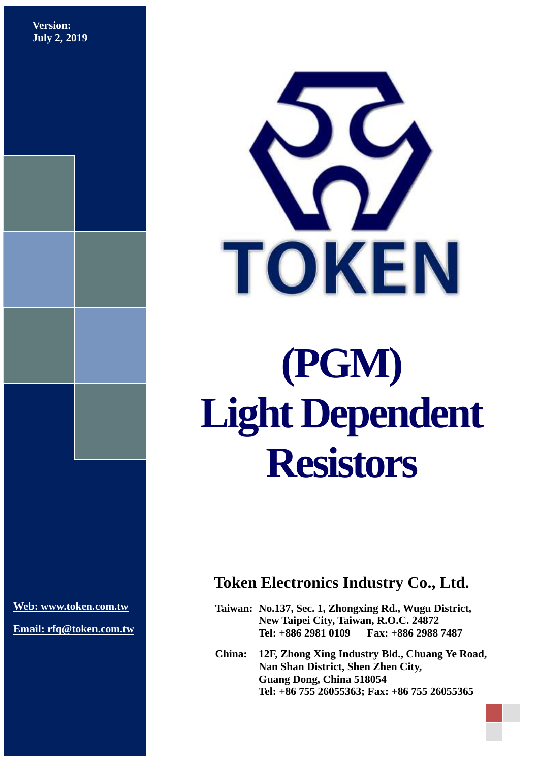**Version: July 2, 2019**



# **(PGM) Light Dependent Resistors**

**[Web: www.token.com.tw](http://www.token.com.tw/)**

**Email: rfq@token.com.tw**

## **Token Electronics Industry Co., Ltd.**

**Taiwan: No.137, Sec. 1, Zhongxing Rd., Wugu District, New Taipei City, Taiwan, R.O.C. 24872 Tel: +886 2981 0109 Fax: +886 2988 7487**

**China: 12F, Zhong Xing Industry Bld., Chuang Ye Road, Nan Shan District, Shen Zhen City, Guang Dong, China 518054 Tel: +86 755 26055363; Fax: +86 755 26055365**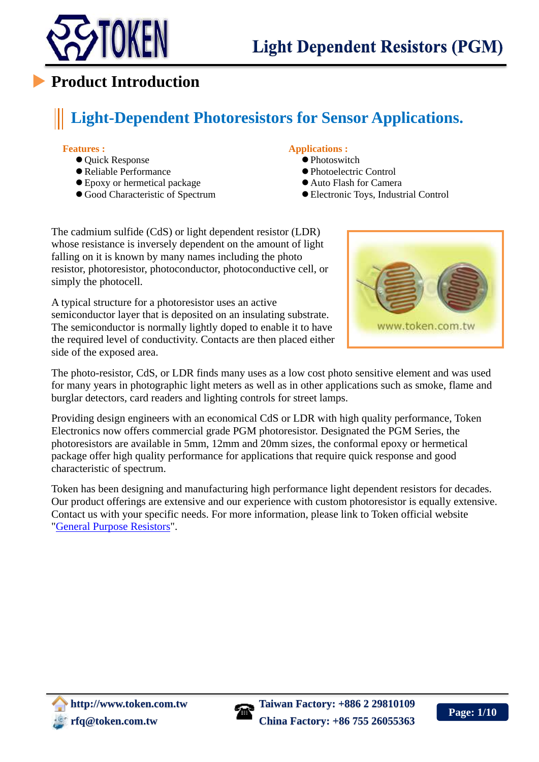

## **Product Introduction**

# **Light-Dependent Photoresistors for Sensor Applications.**

#### **Features :**

- $\bullet$  Ouick Response
- Reliable Performance
- Epoxy or hermetical package
- Good Characteristic of Spectrum

#### **Applications :**

- Photoswitch
- Photoelectric Control
- Auto Flash for Camera
- Electronic Toys, Industrial Control

The cadmium sulfide (CdS) or light dependent resistor (LDR) whose resistance is inversely dependent on the amount of light falling on it is known by many names including the photo resistor, photoresistor, photoconductor, photoconductive cell, or simply the photocell.

A typical structure for a photoresistor uses an active semiconductor layer that is deposited on an insulating substrate. The semiconductor is normally lightly doped to enable it to have the required level of conductivity. Contacts are then placed either side of the exposed area.



The photo-resistor, CdS, or LDR finds many uses as a low cost photo sensitive element and was used for many years in photographic light meters as well as in other applications such as smoke, flame and burglar detectors, card readers and lighting controls for street lamps.

Providing design engineers with an economical CdS or LDR with high quality performance, Token Electronics now offers commercial grade PGM photoresistor. Designated the PGM Series, the photoresistors are available in 5mm, 12mm and 20mm sizes, the conformal epoxy or hermetical package offer high quality performance for applications that require quick response and good characteristic of spectrum.

Token has been designing and manufacturing high performance light dependent resistors for decades. Our product offerings are extensive and our experience with custom photoresistor is equally extensive. Contact us with your specific needs. For more information, please link to Token official website ["General Purpose Resistors"](http://www.token.com.tw/resistor/index.html).

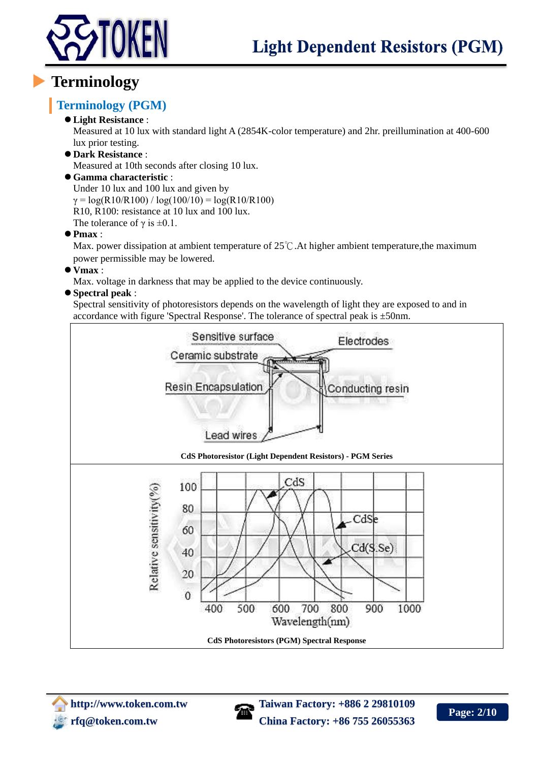

## **Terminology**

## **Terminology (PGM)**

#### **Light Resistance** :

Measured at 10 lux with standard light A (2854K-color temperature) and 2hr. preillumination at 400-600 lux prior testing.

**Dark Resistance** :

Measured at 10th seconds after closing 10 lux.

**Gamma characteristic** :

Under 10 lux and 100 lux and given by  $\gamma = \log(R10/R100) / \log(100/10) = \log(R10/R100)$ R10, R100: resistance at 10 lux and 100 lux. The tolerance of  $\gamma$  is  $\pm 0.1$ .

**Pmax** :

Max. power dissipation at ambient temperature of 25℃.At higher ambient temperature,the maximum power permissible may be lowered.

**Vmax** :

Max. voltage in darkness that may be applied to the device continuously.

#### **Spectral peak** :

Spectral sensitivity of photoresistors depends on the wavelength of light they are exposed to and in accordance with figure 'Spectral Response'. The tolerance of spectral peak is ±50nm.



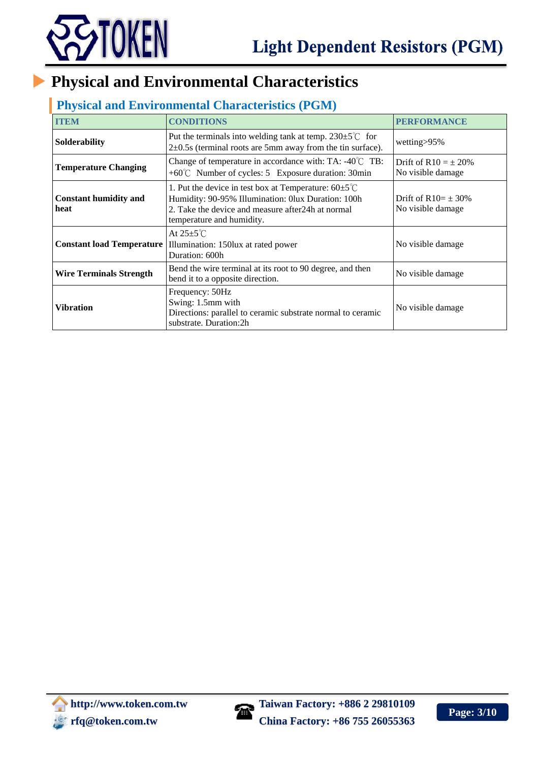

## **Physical and Environmental Characteristics**

## **Physical and Environmental Characteristics (PGM)**

| <b>ITEM</b>                          | <b>CONDITIONS</b>                                                                                                                                                                                           | <b>PERFORMANCE</b>                             |  |  |  |
|--------------------------------------|-------------------------------------------------------------------------------------------------------------------------------------------------------------------------------------------------------------|------------------------------------------------|--|--|--|
| Solderability                        | Put the terminals into welding tank at temp. $230 \pm 5^{\circ}$ for<br>$2\pm 0.5$ (terminal roots are 5mm away from the tin surface).                                                                      | wetting>95%                                    |  |  |  |
| <b>Temperature Changing</b>          | Change of temperature in accordance with: TA: $-40^{\circ}$ C TB:<br>$+60^{\circ}$ C Number of cycles: 5 Exposure duration: 30min                                                                           | Drift of $R10 = \pm 20\%$<br>No visible damage |  |  |  |
| <b>Constant humidity and</b><br>heat | 1. Put the device in test box at Temperature: $60 \pm 5^{\circ}$ C<br>Humidity: 90-95% Illumination: 0lux Duration: 100h<br>2. Take the device and measure after 24h at normal<br>temperature and humidity. | Drift of $R10 = \pm 30\%$<br>No visible damage |  |  |  |
| <b>Constant load Temperature</b>     | At $25 \pm 5^{\circ}$ C<br>Illumination: 150lux at rated power<br>Duration: 600h                                                                                                                            |                                                |  |  |  |
| Wire Terminals Strength              | No visible damage                                                                                                                                                                                           |                                                |  |  |  |
| <b>Vibration</b>                     | Frequency: 50Hz<br>Swing: 1.5mm with<br>Directions: parallel to ceramic substrate normal to ceramic<br>substrate. Duration:2h                                                                               | No visible damage                              |  |  |  |

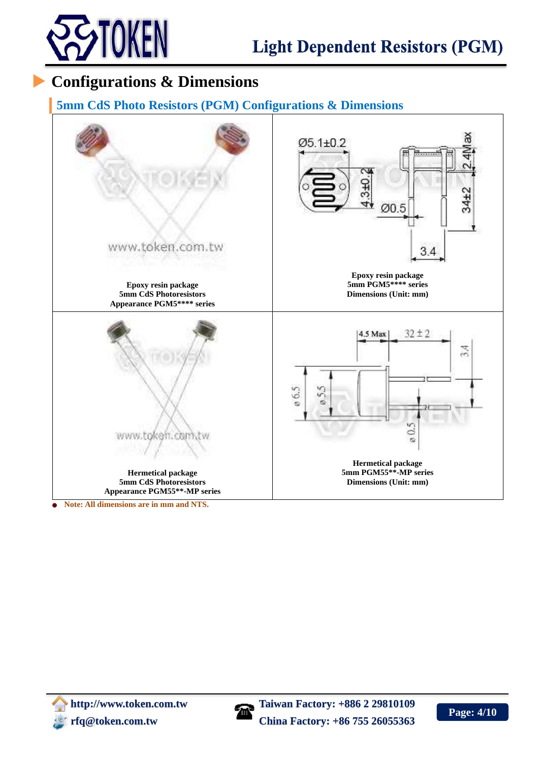

## **Configurations & Dimensions**

#### **5mm CdS Photo Resistors (PGM) Configurations & Dimensions**



**Note: All dimensions are in mm and NTS.**



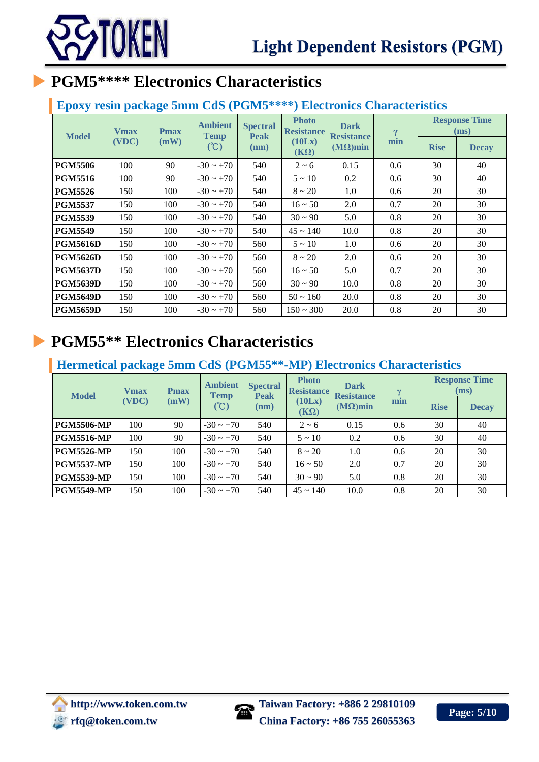

## **PGM5\*\*\*\* Electronics Characteristics**

#### **Epoxy resin package 5mm CdS (PGM5\*\*\*\*) Electronics Characteristics**

| <b>Model</b>    | <b>V</b> max | <b>Pmax</b> | <b>Ambient</b><br><b>Temp</b> | <b>Spectral</b>     | <b>Photo</b><br><b>Resistance</b> | <b>Dark</b>                          | $\gamma$<br>min | <b>Response Time</b><br>(ms) |              |
|-----------------|--------------|-------------|-------------------------------|---------------------|-----------------------------------|--------------------------------------|-----------------|------------------------------|--------------|
|                 | (VDC)        | (mW)        | (C)                           | <b>Peak</b><br>(nm) | (10Lx)<br>$(K\Omega)$             | <b>Resistance</b><br>$(M\Omega)$ min |                 | <b>Rise</b>                  | <b>Decay</b> |
| <b>PGM5506</b>  | 100          | 90          | $-30 \sim +70$                | 540                 | $2 - 6$                           | 0.15                                 | 0.6             | 30                           | 40           |
| <b>PGM5516</b>  | 100          | 90          | $-30 \sim +70$                | 540                 | $5 \sim 10$                       | 0.2                                  | 0.6             | 30                           | 40           |
| <b>PGM5526</b>  | 150          | 100         | $-30 \sim +70$                | 540                 | $8 \sim 20$                       | 1.0                                  | 0.6             | 20                           | 30           |
| <b>PGM5537</b>  | 150          | 100         | $-30 \sim +70$                | 540                 | $16 \sim 50$                      | 2.0                                  | 0.7             | 20                           | 30           |
| <b>PGM5539</b>  | 150          | 100         | $-30 \sim +70$                | 540                 | $30 \sim 90$                      | 5.0                                  | 0.8             | 20                           | 30           |
| <b>PGM5549</b>  | 150          | 100         | $-30 \sim +70$                | 540                 | $45 \sim 140$                     | 10.0                                 | 0.8             | 20                           | 30           |
| <b>PGM5616D</b> | 150          | 100         | $-30 \sim +70$                | 560                 | $5 \sim 10$                       | 1.0                                  | 0.6             | 20                           | 30           |
| <b>PGM5626D</b> | 150          | 100         | $-30 \sim +70$                | 560                 | $8 \sim 20$                       | 2.0                                  | 0.6             | 20                           | 30           |
| <b>PGM5637D</b> | 150          | 100         | $-30 \sim +70$                | 560                 | $16 \sim 50$                      | 5.0                                  | 0.7             | 20                           | 30           |
| <b>PGM5639D</b> | 150          | 100         | $-30 \sim +70$                | 560                 | $30 \sim 90$                      | 10.0                                 | 0.8             | 20                           | 30           |
| <b>PGM5649D</b> | 150          | 100         | $-30 \sim +70$                | 560                 | $50 \sim 160$                     | 20.0                                 | 0.8             | 20                           | 30           |
| <b>PGM5659D</b> | 150          | 100         | $-30 \sim +70$                | 560                 | $150 \sim 300$                    | 20.0                                 | 0.8             | 20                           | 30           |

## **PGM55\*\* Electronics Characteristics**

### **Hermetical package 5mm CdS (PGM55\*\*-MP) Electronics Characteristics**

| <b>Model</b>      | <b>V</b> max | <b>Pmax</b><br>(mW) | <b>Ambient</b><br><b>Temp</b><br>(C) | <b>Spectral</b><br><b>Peak</b><br>(nm) | <b>Photo</b><br><b>Resistance</b><br>(10Lx)<br>$(K\Omega)$ | <b>Dark</b><br><b>Resistance</b><br>$(M\Omega)$ min | $\mathbf{v}$<br>min | <b>Response Time</b><br>(ms) |              |
|-------------------|--------------|---------------------|--------------------------------------|----------------------------------------|------------------------------------------------------------|-----------------------------------------------------|---------------------|------------------------------|--------------|
|                   | (VDC)        |                     |                                      |                                        |                                                            |                                                     |                     | <b>Rise</b>                  | <b>Decay</b> |
| <b>PGM5506-MP</b> | 100          | 90                  | $-30 \sim +70$                       | 540                                    | $2 \sim 6$                                                 | 0.15                                                | 0.6                 | 30                           | 40           |
| <b>PGM5516-MP</b> | 100          | 90                  | $-30 \sim +70$                       | 540                                    | $5 \sim 10$                                                | 0.2                                                 | 0.6                 | 30                           | 40           |
| <b>PGM5526-MP</b> | 150          | 100                 | $-30 \sim +70$                       | 540                                    | $8 \sim 20$                                                | 1.0                                                 | 0.6                 | 20                           | 30           |
| <b>PGM5537-MP</b> | 150          | 100                 | $-30 \sim +70$                       | 540                                    | $16 \sim 50$                                               | 2.0                                                 | 0.7                 | 20                           | 30           |
| <b>PGM5539-MP</b> | 150          | 100                 | $-30 \sim +70$                       | 540                                    | $30 \sim 90$                                               | 5.0                                                 | 0.8                 | 20                           | 30           |
| <b>PGM5549-MP</b> | 150          | 100                 | $-30 \sim +70$                       | 540                                    | $45 \sim 140$                                              | 10.0                                                | 0.8                 | 20                           | 30           |

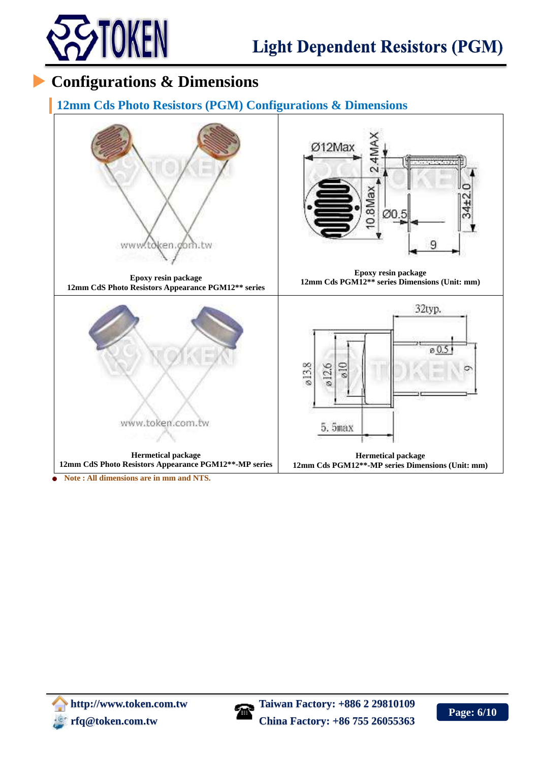

## **Configurations & Dimensions**

#### **12mm Cds Photo Resistors (PGM) Configurations & Dimensions**



Ø12Max ব  $\sim$ 0.8Max ØO 9

**Epoxy resin package 12mm Cds PGM12\*\* series Dimensions (Unit: mm)**

**Epoxy resin package 12mm CdS Photo Resistors Appearance PGM12\*\* series**





**Hermetical package 12mm Cds PGM12\*\*-MP series Dimensions (Unit: mm)**

**Note : All dimensions are in mm and NTS.**

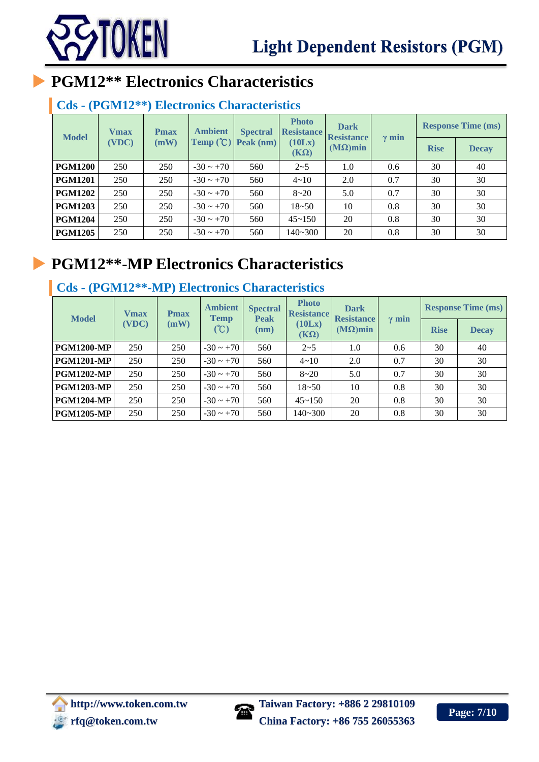



# **PGM12\*\* Electronics Characteristics**

## **Cds - (PGM12\*\*) Electronics Characteristics**

| <b>Vmax</b><br><b>Pmax</b><br><b>Model</b><br>(VDC)<br>(mW) |           | <b>Ambient</b> | <b>Spectral</b>       | <b>Photo</b><br><b>Resistance</b> | <b>Dark</b><br><b>Resistance</b> |             | <b>Response Time (ms)</b> |    |    |
|-------------------------------------------------------------|-----------|----------------|-----------------------|-----------------------------------|----------------------------------|-------------|---------------------------|----|----|
|                                                             | Temp (°C) | Peak (nm)      | (10Lx)<br>$(K\Omega)$ | $(M\Omega)$ min                   | $\gamma$ min                     | <b>Rise</b> | <b>Decay</b>              |    |    |
| <b>PGM1200</b>                                              | 250       | 250            | $-30 \sim +70$        | 560                               | $2 - 5$                          | 1.0         | 0.6                       | 30 | 40 |
| <b>PGM1201</b>                                              | 250       | 250            | $-30 \sim +70$        | 560                               | $4 \sim 10$                      | 2.0         | 0.7                       | 30 | 30 |
| <b>PGM1202</b>                                              | 250       | 250            | $-30 \sim +70$        | 560                               | $8 - 20$                         | 5.0         | 0.7                       | 30 | 30 |
| <b>PGM1203</b>                                              | 250       | 250            | $-30 \sim +70$        | 560                               | $18 - 50$                        | 10          | 0.8                       | 30 | 30 |
| <b>PGM1204</b>                                              | 250       | 250            | $-30 \sim +70$        | 560                               | $45 - 150$                       | 20          | 0.8                       | 30 | 30 |
| <b>PGM1205</b>                                              | 250       | 250            | $-30 \sim +70$        | 560                               | $140 - 300$                      | 20          | 0.8                       | 30 | 30 |

## **PGM12\*\*-MP Electronics Characteristics**

### **Cds - (PGM12\*\*-MP) Electronics Characteristics**

| <b>Model</b>      | <b>V</b> max<br>(VDC) | <b>Pmax</b><br>(mW) | <b>Ambient</b><br><b>Temp</b><br>(C) | <b>Spectral</b><br><b>Peak</b><br>(nm) | <b>Photo</b><br><b>Resistance</b><br>(10Lx)<br>$(K\Omega)$ | <b>Dark</b><br><b>Resistance</b><br>$(M\Omega)$ min | $\gamma$ min | <b>Rise</b> | <b>Response Time (ms)</b><br><b>Decay</b> |
|-------------------|-----------------------|---------------------|--------------------------------------|----------------------------------------|------------------------------------------------------------|-----------------------------------------------------|--------------|-------------|-------------------------------------------|
| <b>PGM1200-MP</b> | 250                   | 250                 | $-30 \sim +70$                       | 560                                    | $2 - 5$                                                    | 1.0                                                 | 0.6          | 30          | 40                                        |
| <b>PGM1201-MP</b> | 250                   | 250                 | $-30 \sim +70$                       | 560                                    | $4 \sim 10$                                                | 2.0                                                 | 0.7          | 30          | 30                                        |
| <b>PGM1202-MP</b> | 250                   | 250                 | $-30 \sim +70$                       | 560                                    | $8 - 20$                                                   | 5.0                                                 | 0.7          | 30          | 30                                        |
| <b>PGM1203-MP</b> | 250                   | 250                 | $-30 \sim +70$                       | 560                                    | $18 - 50$                                                  | 10                                                  | 0.8          | 30          | 30                                        |
| <b>PGM1204-MP</b> | 250                   | 250                 | $-30 \sim +70$                       | 560                                    | $45 - 150$                                                 | 20                                                  | 0.8          | 30          | 30                                        |
| <b>PGM1205-MP</b> | 250                   | 250                 | $-30 \sim +70$                       | 560                                    | $140 - 300$                                                | 20                                                  | 0.8          | 30          | 30                                        |

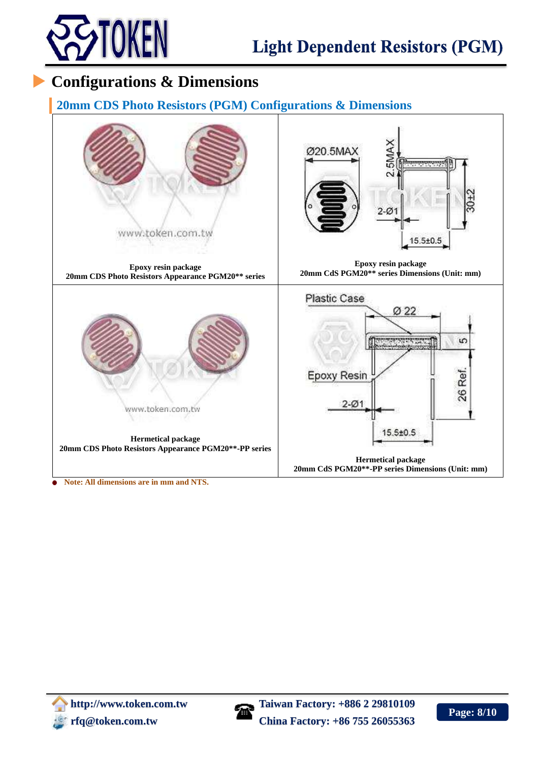

## **Configurations & Dimensions**

#### **20mm CDS Photo Resistors (PGM) Configurations & Dimensions**



**Note: All dimensions are in mm and NTS.**

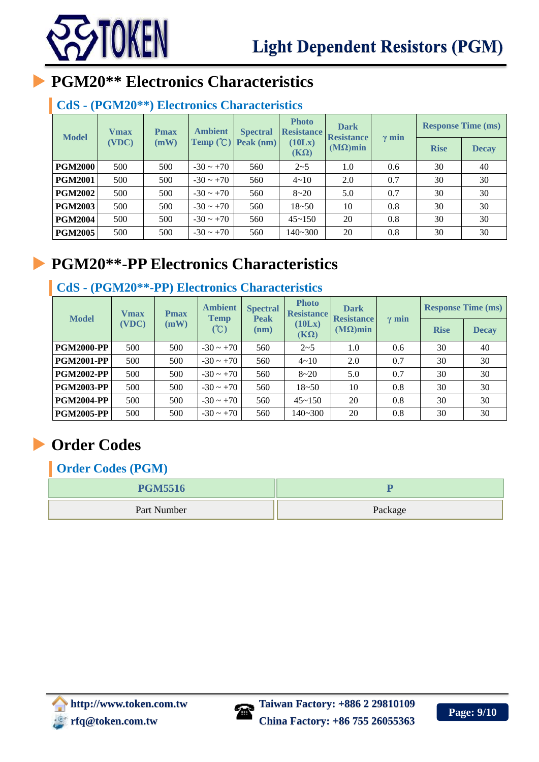

# **PGM20\*\* Electronics Characteristics**

## **CdS - (PGM20\*\*) Electronics Characteristics**

| <b>Vmax</b><br><b>Model</b> | <b>Pmax</b>   | <b>Ambient</b><br>Temp $\left(\text{C}\right)$ | <b>Spectral</b><br>Peak (nm) | <b>Photo</b><br><b>Resistance</b><br>(10Lx)<br>$(K\Omega)$ | <b>Dark</b><br><b>Resistance</b><br>$(M\Omega)$ min | $\gamma$ min | <b>Response Time (ms)</b> |              |    |
|-----------------------------|---------------|------------------------------------------------|------------------------------|------------------------------------------------------------|-----------------------------------------------------|--------------|---------------------------|--------------|----|
|                             | (VDC)<br>(mW) |                                                |                              |                                                            |                                                     |              | <b>Rise</b>               | <b>Decay</b> |    |
| <b>PGM2000</b>              | 500           | 500                                            | $-30 \sim +70$               | 560                                                        | $2 - 5$                                             | 1.0          | 0.6                       | 30           | 40 |
| <b>PGM2001</b>              | 500           | 500                                            | $-30 \sim +70$               | 560                                                        | $4 - 10$                                            | 2.0          | 0.7                       | 30           | 30 |
| <b>PGM2002</b>              | 500           | 500                                            | $-30 \sim +70$               | 560                                                        | $8 - 20$                                            | 5.0          | 0.7                       | 30           | 30 |
| <b>PGM2003</b>              | 500           | 500                                            | $-30 \sim +70$               | 560                                                        | $18 - 50$                                           | 10           | 0.8                       | 30           | 30 |
| <b>PGM2004</b>              | 500           | 500                                            | $-30 \sim +70$               | 560                                                        | $45 - 150$                                          | 20           | 0.8                       | 30           | 30 |
| <b>PGM2005</b>              | 500           | 500                                            | $-30 \sim +70$               | 560                                                        | $140 - 300$                                         | 20           | 0.8                       | 30           | 30 |

# **PGM20\*\*-PP Electronics Characteristics**

## **CdS - (PGM20\*\*-PP) Electronics Characteristics**

| <b>Model</b>      | <b>Vmax</b> | <b>Pmax</b><br>(mW) | <b>Ambient</b><br><b>Temp</b><br>(C) | <b>Spectral</b><br><b>Peak</b><br>(nm) | <b>Photo</b><br><b>Resistance</b><br>(10Lx)<br>$(K\Omega)$ | <b>Dark</b><br><b>Resistance</b><br>$(M\Omega)$ min | $\gamma$ min | <b>Response Time (ms)</b> |              |
|-------------------|-------------|---------------------|--------------------------------------|----------------------------------------|------------------------------------------------------------|-----------------------------------------------------|--------------|---------------------------|--------------|
|                   | (VDC)       |                     |                                      |                                        |                                                            |                                                     |              | <b>Rise</b>               | <b>Decay</b> |
| <b>PGM2000-PP</b> | 500         | 500                 | $-30 \sim +70$                       | 560                                    | $2 - 5$                                                    | 1.0                                                 | 0.6          | 30                        | 40           |
| <b>PGM2001-PP</b> | 500         | 500                 | $-30 \sim +70$                       | 560                                    | $4 \sim 10$                                                | 2.0                                                 | 0.7          | 30                        | 30           |
| <b>PGM2002-PP</b> | 500         | 500                 | $-30 \sim +70$                       | 560                                    | $8 - 20$                                                   | 5.0                                                 | 0.7          | 30                        | 30           |
| <b>PGM2003-PP</b> | 500         | 500                 | $-30 \sim +70$                       | 560                                    | $18 - 50$                                                  | 10                                                  | 0.8          | 30                        | 30           |
| <b>PGM2004-PP</b> | 500         | 500                 | $-30 \sim +70$                       | 560                                    | $45 - 150$                                                 | 20                                                  | 0.8          | 30                        | 30           |
| <b>PGM2005-PP</b> | 500         | 500                 | $-30 \sim +70$                       | 560                                    | 140~300                                                    | 20                                                  | 0.8          | 30                        | 30           |

# **Order Codes**

**Order Codes (PGM)**

| <b>PGM5516</b> |         |  |  |
|----------------|---------|--|--|
| Part Number    | Package |  |  |